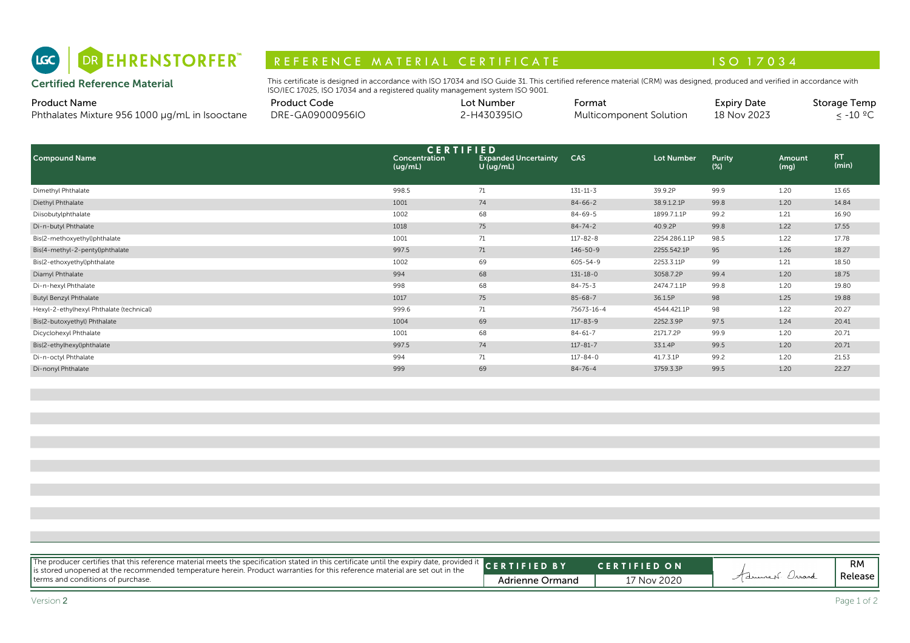

# R E F E R E N C E MAT E RIAL CERTIFICATE A LA COMPRESSIONE DE LA CONSTITUTION A LA CONSTITUTION A LA CONSTITUI

| <b>Product Name</b>                            | Product Code     | ∟ot Number | -ormat                  | <b>Expiry Date</b> | Storage Temp |
|------------------------------------------------|------------------|------------|-------------------------|--------------------|--------------|
| Phthalates Mixture 956 1000 µg/mL in Isooctane | DRE-GA09000956IO | -H430395IO | Multicomponent Solution | 18 Nov 2023        | ್-10 °′      |

| DR EHRENSTORFER"<br>(LGC)                                             | REFERENCE MATERIAL CERTIFICATE                                                                                                                                                                                                                              |                          |                                                                |                |                         | ISO 17034                         |                |                                                |  |
|-----------------------------------------------------------------------|-------------------------------------------------------------------------------------------------------------------------------------------------------------------------------------------------------------------------------------------------------------|--------------------------|----------------------------------------------------------------|----------------|-------------------------|-----------------------------------|----------------|------------------------------------------------|--|
| <b>Certified Reference Material</b>                                   | This certificate is designed in accordance with ISO 17034 and ISO Guide 31. This certified reference material (CRM) was designed, produced and verified in accordance with<br>ISO/IEC 17025, ISO 17034 and a registered quality management system ISO 9001. |                          |                                                                |                |                         |                                   |                |                                                |  |
| <b>Product Name</b><br>Phthalates Mixture 956 1000 µg/mL in Isooctane | <b>Product Code</b><br>DRE-GA09000956IO                                                                                                                                                                                                                     |                          | Lot Number<br>2-H430395IO                                      | Format         | Multicomponent Solution | <b>Expiry Date</b><br>18 Nov 2023 |                | <b>Storage Temp</b><br>$\leq$ -10 $^{\circ}$ C |  |
| <b>Compound Name</b>                                                  |                                                                                                                                                                                                                                                             | Concentration<br>(uq/mL) | <b>CERTIFIED</b><br><b>Expanded Uncertainty</b><br>$U$ (ug/mL) | <b>CAS</b>     | Lot Number              | Purity<br>$(\%)$                  | Amount<br>(mg) | RT.<br>(min)                                   |  |
| Dimethyl Phthalate                                                    |                                                                                                                                                                                                                                                             | 998.5                    | 71                                                             | $131 - 11 - 3$ | 39.9.2P                 | 99.9                              | 1.20           | 13.65                                          |  |
| Diethyl Phthalate                                                     |                                                                                                                                                                                                                                                             | 1001                     | 74                                                             | $84 - 66 - 2$  | 38.9.1.2.1P             | 99.8                              | 1.20           | 14.84                                          |  |
| Diisobutylphthalate                                                   |                                                                                                                                                                                                                                                             | 1002                     | 68                                                             | 84-69-5        | 1899.7.1.1P             | 99.2                              | 1.21           | 16.90                                          |  |
| Di-n-butyl Phthalate                                                  |                                                                                                                                                                                                                                                             | 1018                     | 75                                                             | $84 - 74 - 2$  | 40.9.2P                 | 99.8                              | 1.22           | 17.55                                          |  |
| Bis(2-methoxyethyl)phthalate                                          |                                                                                                                                                                                                                                                             | 1001                     | 71                                                             | $117 - 82 - 8$ | 2254.286.1.1P           | 98.5                              | 1.22           | 17.78                                          |  |
| Bis(4-methyl-2-pentyl)phthalate                                       |                                                                                                                                                                                                                                                             | 997.5                    | 71                                                             | 146-50-9       | 2255.542.1P             | 95                                | 1.26           | 18.27                                          |  |
| Bis(2-ethoxyethyl)phthalate                                           |                                                                                                                                                                                                                                                             | 1002                     | 69                                                             | 605-54-9       | 2253.3.11P              | 99                                | 1.21           | 18.50                                          |  |
| Diamyl Phthalate                                                      |                                                                                                                                                                                                                                                             | 994                      | 68                                                             | $131 - 18 - 0$ | 3058.7.2P               | 99.4                              | 1.20           | 18.75                                          |  |
| Di-n-hexyl Phthalate                                                  |                                                                                                                                                                                                                                                             | 998                      | 68                                                             | $84 - 75 - 3$  | 2474.7.1.1P             | 99.8                              | 1.20           | 19.80                                          |  |
| <b>Butyl Benzyl Phthalate</b>                                         |                                                                                                                                                                                                                                                             | 1017                     | 75                                                             | $85 - 68 - 7$  | 36.1.5P                 | 98                                | 1.25           | 19.88                                          |  |
| Hexyl-2-ethylhexyl Phthalate (technical)                              |                                                                                                                                                                                                                                                             | 999.6                    | 71                                                             | 75673-16-4     | 4544.421.1P             | 98                                | 1.22           | 20.27                                          |  |
| Bis(2-butoxyethyl) Phthalate                                          |                                                                                                                                                                                                                                                             | 1004                     | 69                                                             | $117 - 83 - 9$ | 2252.3.9P               | 97.5                              | 1.24           | 20.41                                          |  |
| Dicyclohexyl Phthalate                                                |                                                                                                                                                                                                                                                             | 1001                     | 68                                                             | $84 - 61 - 7$  | 2171.7.2P               | 99.9                              | 1.20           | 20.71                                          |  |
| Bis(2-ethylhexyl)phthalate                                            |                                                                                                                                                                                                                                                             | 997.5                    | 74                                                             | $117 - 81 - 7$ | 33.1.4P                 | 99.5                              | 1.20           | 20.71                                          |  |
| Di-n-octyl Phthalate                                                  |                                                                                                                                                                                                                                                             | 994                      | 71                                                             | $117 - 84 - 0$ | 41.7.3.1P               | 99.2                              | 1.20           | 21.53                                          |  |
| Di-nonyl Phthalate                                                    |                                                                                                                                                                                                                                                             | 999                      | 69                                                             | $84 - 76 - 4$  | 3759.3.3P               | 99.5                              | 1.20           | 22.27                                          |  |

| The producer certifies that this reference material meets the specification stated in this certificate until the expiry date, provided it CERTIFIED BY |                        | <b>CERTIFIED ON</b> |                | RM                     |
|--------------------------------------------------------------------------------------------------------------------------------------------------------|------------------------|---------------------|----------------|------------------------|
|                                                                                                                                                        | <b>Adrienne Ormand</b> | 17 Nov 2020         | Advised Orrand | Release<br>Page 1 of 2 |